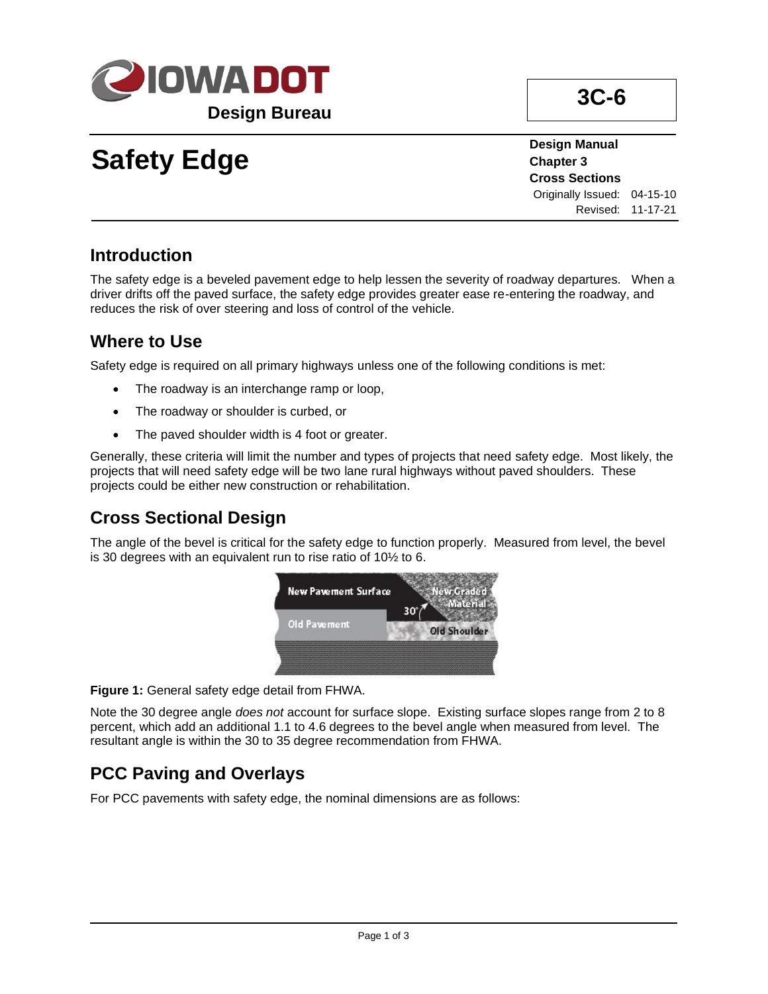

# **Safety Edge**

**Design Manual Chapter 3 Cross Sections** Originally Issued: 04-15-10 Revised: 11-17-21

#### **Introduction**

The safety edge is a beveled pavement edge to help lessen the severity of roadway departures. When a driver drifts off the paved surface, the safety edge provides greater ease re-entering the roadway, and reduces the risk of over steering and loss of control of the vehicle.

### **Where to Use**

Safety edge is required on all primary highways unless one of the following conditions is met:

- The roadway is an interchange ramp or loop,
- The roadway or shoulder is curbed, or
- The paved shoulder width is 4 foot or greater.

Generally, these criteria will limit the number and types of projects that need safety edge. Most likely, the projects that will need safety edge will be two lane rural highways without paved shoulders. These projects could be either new construction or rehabilitation.

# **Cross Sectional Design**

The angle of the bevel is critical for the safety edge to function properly. Measured from level, the bevel is 30 degrees with an equivalent run to rise ratio of 10½ to 6.



**Figure 1:** General safety edge detail from FHWA.

Note the 30 degree angle *does not* account for surface slope. Existing surface slopes range from 2 to 8 percent, which add an additional 1.1 to 4.6 degrees to the bevel angle when measured from level. The resultant angle is within the 30 to 35 degree recommendation from FHWA.

# **PCC Paving and Overlays**

For PCC pavements with safety edge, the nominal dimensions are as follows: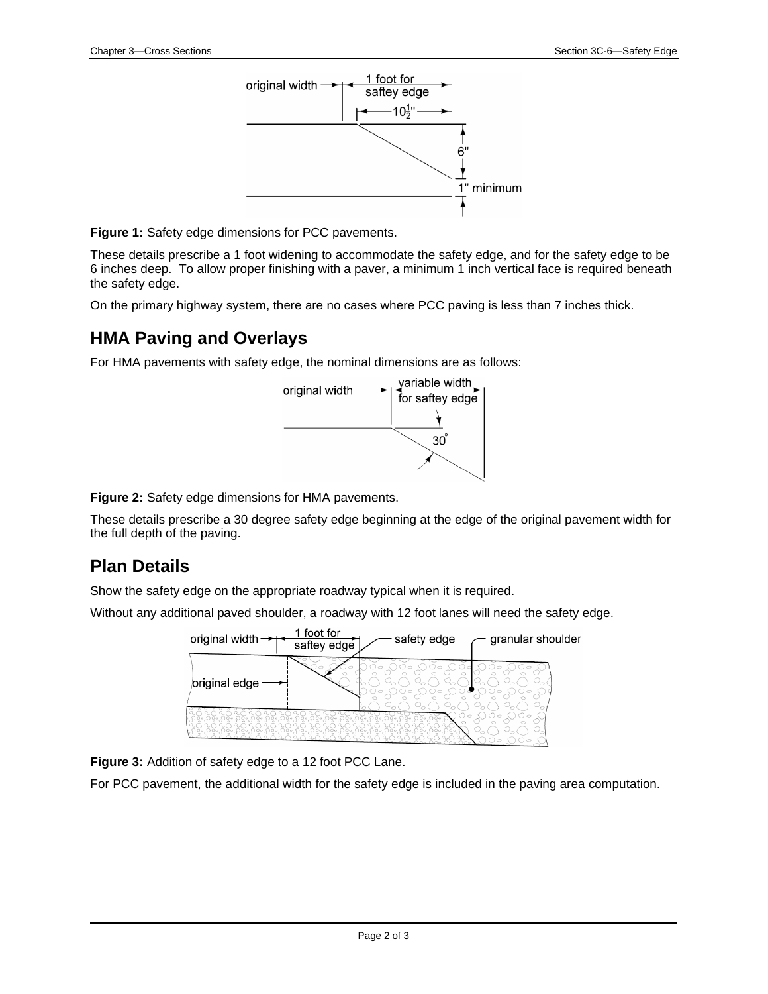

**Figure 1:** Safety edge dimensions for PCC pavements.

These details prescribe a 1 foot widening to accommodate the safety edge, and for the safety edge to be 6 inches deep. To allow proper finishing with a paver, a minimum 1 inch vertical face is required beneath the safety edge.

On the primary highway system, there are no cases where PCC paving is less than 7 inches thick.

#### **HMA Paving and Overlays**

For HMA pavements with safety edge, the nominal dimensions are as follows:



**Figure 2:** Safety edge dimensions for HMA pavements.

These details prescribe a 30 degree safety edge beginning at the edge of the original pavement width for the full depth of the paving.

#### **Plan Details**

Show the safety edge on the appropriate roadway typical when it is required.

Without any additional paved shoulder, a roadway with 12 foot lanes will need the safety edge.



**Figure 3:** Addition of safety edge to a 12 foot PCC Lane.

For PCC pavement, the additional width for the safety edge is included in the paving area computation.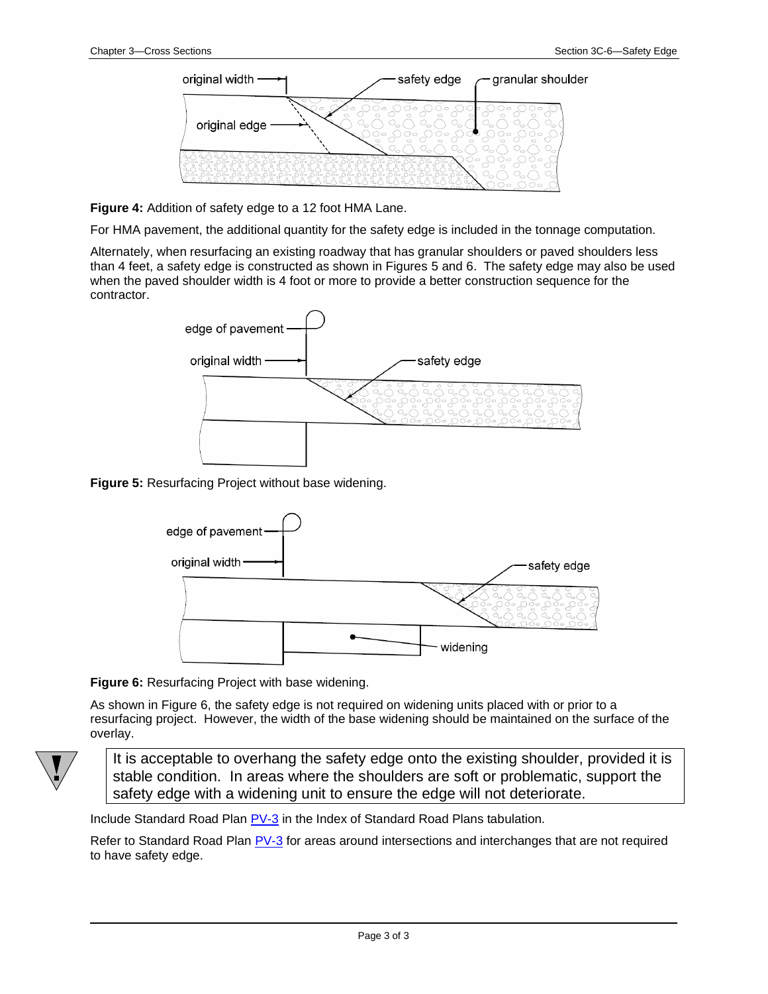

**Figure 4:** Addition of safety edge to a 12 foot HMA Lane.

For HMA pavement, the additional quantity for the safety edge is included in the tonnage computation.

Alternately, when resurfacing an existing roadway that has granular shoulders or paved shoulders less than 4 feet, a safety edge is constructed as shown in Figures 5 and 6. The safety edge may also be used when the paved shoulder width is 4 foot or more to provide a better construction sequence for the contractor.



**Figure 5:** Resurfacing Project without base widening.



**Figure 6:** Resurfacing Project with base widening.

As shown in Figure 6, the safety edge is not required on widening units placed with or prior to a resurfacing project. However, the width of the base widening should be maintained on the surface of the overlay.



It is acceptable to overhang the safety edge onto the existing shoulder, provided it is stable condition. In areas where the shoulders are soft or problematic, support the safety edge with a widening unit to ensure the edge will not deteriorate.

Include Standard Road Plan **PV-3** in the Index of Standard Road Plans tabulation.

Refer to Standard Road Plan **PV-3** for areas around intersections and interchanges that are not required to have safety edge.